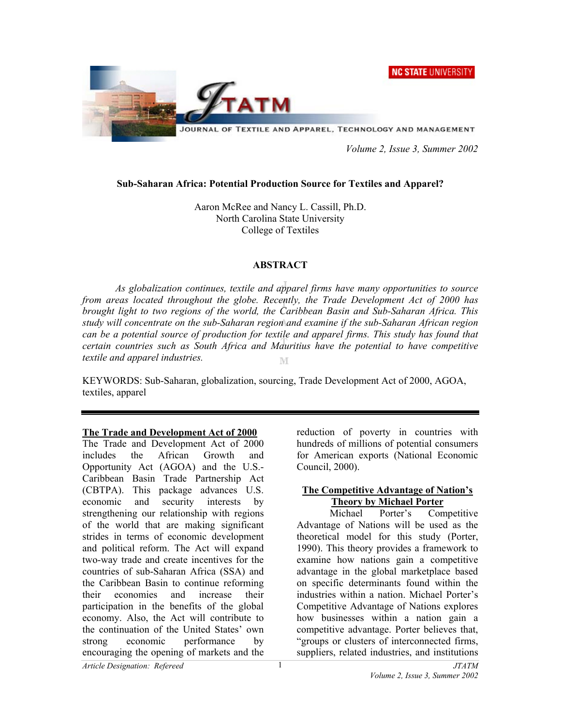**NC STATE UNIVERSITY** 



 *Volume 2, Issue 3, Summer 2002* 

# **Sub-Saharan Africa: Potential Production Source for Textiles and Apparel?**

Aaron McRee and Nancy L. Cassill, Ph.D. North Carolina State University College of Textiles

# **ABSTRACT**

 *As globalization continues, textile and apparel firms have many opportunities to source from areas located throughout the globe. Recently, the Trade Development Act of 2000 has brought light to two regions of the world, the Caribbean Basin and Sub-Saharan Africa. This study will concentrate on the sub-Saharan region and examine if the sub-Saharan African region can be a potential source of production for textile and apparel firms. This study has found that certain countries such as South Africa and Mauritius have the potential to have competitive textile and apparel industries.*  M

KEYWORDS: Sub-Saharan, globalization, sourcing, Trade Development Act of 2000, AGOA, textiles, apparel

### **The Trade and Development Act of 2000**

The Trade and Development Act of 2000 includes the African Growth and Opportunity Act (AGOA) and the U.S.- Caribbean Basin Trade Partnership Act (CBTPA). This package advances U.S. economic and security interests by strengthening our relationship with regions of the world that are making significant strides in terms of economic development and political reform. The Act will expand two-way trade and create incentives for the countries of sub-Saharan Africa (SSA) and the Caribbean Basin to continue reforming their economies and increase their participation in the benefits of the global economy. Also, the Act will contribute to the continuation of the United States' own strong economic performance by encouraging the opening of markets and the

reduction of poverty in countries with hundreds of millions of potential consumers for American exports (National Economic Council, 2000).

### **The Competitive Advantage of Nation's Theory by Michael Porter**

Michael Porter's Competitive Advantage of Nations will be used as the theoretical model for this study (Porter, 1990). This theory provides a framework to examine how nations gain a competitive advantage in the global marketplace based on specific determinants found within the industries within a nation. Michael Porter's Competitive Advantage of Nations explores how businesses within a nation gain a competitive advantage. Porter believes that, "groups or clusters of interconnected firms, suppliers, related industries, and institutions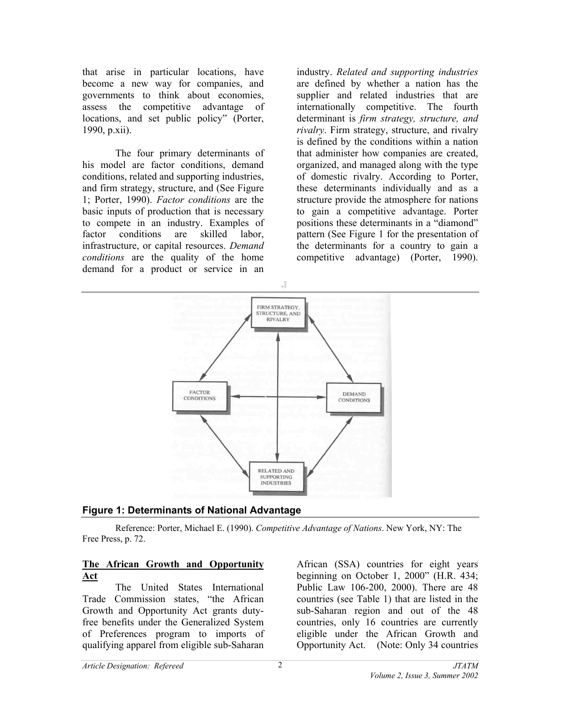that arise in particular locations, have become a new way for companies, and governments to think about economies, assess the competitive advantage of locations, and set public policy" (Porter, 1990, p.xii).

 The four primary determinants of his model are factor conditions, demand conditions, related and supporting industries, and firm strategy, structure, and (See Figure 1; Porter, 1990). *Factor conditions* are the basic inputs of production that is necessary to compete in an industry. Examples of factor conditions are skilled labor, infrastructure, or capital resources. *Demand conditions* are the quality of the home demand for a product or service in an

industry. *Related and supporting industries* are defined by whether a nation has the supplier and related industries that are internationally competitive. The fourth determinant is *firm strategy, structure, and rivalry*. Firm strategy, structure, and rivalry is defined by the conditions within a nation that administer how companies are created, organized, and managed along with the type of domestic rivalry. According to Porter, these determinants individually and as a structure provide the atmosphere for nations to gain a competitive advantage. Porter positions these determinants in a "diamond" pattern (See Figure 1 for the presentation of the determinants for a country to gain a competitive advantage) (Porter, 1990).



# **Figure 1: Determinants of National Advantage**

Reference: Porter, Michael E. (1990). *Competitive Advantage of Nations*. New York, NY: The Free Press, p. 72.

### **The African Growth and Opportunity Act**

The United States International Trade Commission states, "the African Growth and Opportunity Act grants dutyfree benefits under the Generalized System of Preferences program to imports of qualifying apparel from eligible sub-Saharan

African (SSA) countries for eight years beginning on October 1, 2000" (H.R. 434; Public Law 106-200, 2000). There are 48 countries (see Table 1) that are listed in the sub-Saharan region and out of the 48 countries, only 16 countries are currently eligible under the African Growth and Opportunity Act. (Note: Only 34 countries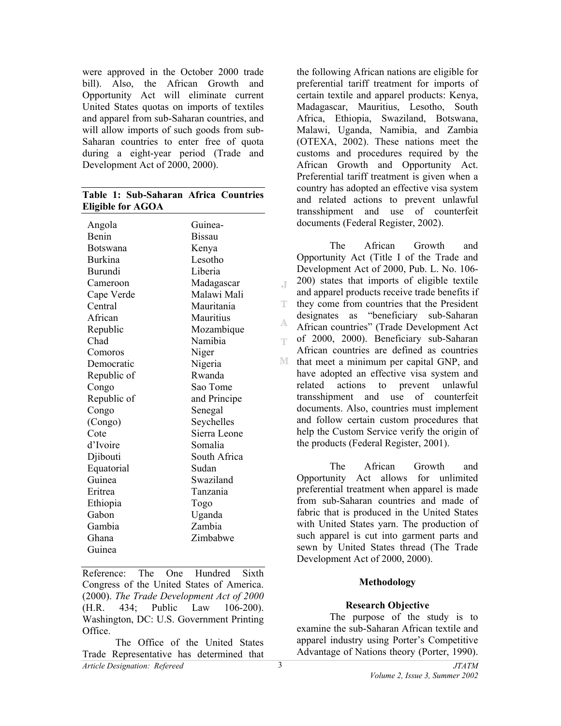were approved in the October 2000 trade bill). Also, the African Growth and Opportunity Act will eliminate current United States quotas on imports of textiles and apparel from sub-Saharan countries, and will allow imports of such goods from sub-Saharan countries to enter free of quota during a eight-year period (Trade and Development Act of 2000, 2000).

### **Table 1: Sub-Saharan Africa Countries Eligible for AGOA**

| Angola          | Guinea-       |
|-----------------|---------------|
| Benin           | <b>Bissau</b> |
| <b>Botswana</b> | Kenya         |
| Burkina         | Lesotho       |
| Burundi         | Liberia       |
| Cameroon        | Madagascar    |
| Cape Verde      | Malawi Mali   |
| Central         | Mauritania    |
| African         | Mauritius     |
| Republic        | Mozambique    |
| Chad            | Namibia       |
| Comoros         | Niger         |
| Democratic      | Nigeria       |
| Republic of     | Rwanda        |
| Congo           | Sao Tome      |
| Republic of     | and Principe  |
| Congo           | Senegal       |
| (Congo)         | Seychelles    |
| Cote            | Sierra Leone  |
| d'Ivoire        | Somalia       |
| Djibouti        | South Africa  |
| Equatorial      | Sudan         |
| Guinea          | Swaziland     |
| Eritrea         | Tanzania      |
| Ethiopia        | Togo          |
| Gabon           | Uganda        |
| Gambia          | Zambia        |
| Ghana           | Zimbabwe      |
| Guinea          |               |

Reference: The One Hundred Sixth Congress of the United States of America. (2000). *The Trade Development Act of 2000* (H.R. 434; Public Law 106-200). Washington, DC: U.S. Government Printing Office.

*Article Designation: Refereed JTATM*  The Office of the United States Trade Representative has determined that

the following African nations are eligible for preferential tariff treatment for imports of certain textile and apparel products: Kenya, Madagascar, Mauritius, Lesotho, South Africa, Ethiopia, Swaziland, Botswana, Malawi, Uganda, Namibia, and Zambia (OTEXA, 2002). These nations meet the customs and procedures required by the African Growth and Opportunity Act. Preferential tariff treatment is given when a country has adopted an effective visa system and related actions to prevent unlawful transshipment and use of counterfeit documents (Federal Register, 2002).

The African Growth and Opportunity Act (Title I of the Trade and Development Act of 2000, Pub. L. No. 106- 200) states that imports of eligible textile  $\mathcal{A}^{\mathcal{A}}$ and apparel products receive trade benefits if  $\mathbb{T}^$ they come from countries that the President designates as "beneficiary sub-Saharan A. African countries" (Trade Development Act of 2000, 2000). Beneficiary sub-Saharan m. African countries are defined as countries M that meet a minimum per capital GNP, and have adopted an effective visa system and related actions to prevent unlawful transshipment and use of counterfeit documents. Also, countries must implement and follow certain custom procedures that help the Custom Service verify the origin of the products (Federal Register, 2001).

The African Growth and Opportunity Act allows for unlimited preferential treatment when apparel is made from sub-Saharan countries and made of fabric that is produced in the United States with United States yarn. The production of such apparel is cut into garment parts and sewn by United States thread (The Trade Development Act of 2000, 2000).

### **Methodology**

### **Research Objective**

The purpose of the study is to examine the sub-Saharan African textile and apparel industry using Porter's Competitive Advantage of Nations theory (Porter, 1990).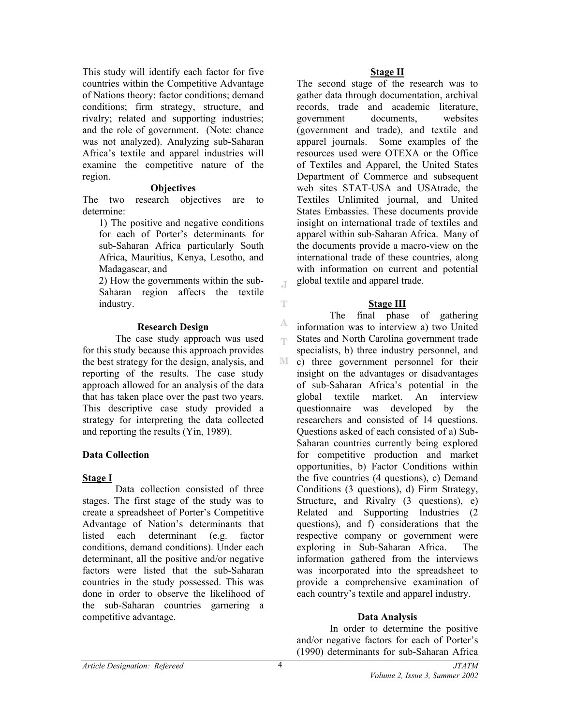This study will identify each factor for five countries within the Competitive Advantage of Nations theory: factor conditions; demand conditions; firm strategy, structure, and rivalry; related and supporting industries; and the role of government. (Note: chance was not analyzed). Analyzing sub-Saharan Africa's textile and apparel industries will examine the competitive nature of the region.

#### **Objectives**

The two research objectives are to determine:

1) The positive and negative conditions for each of Porter's determinants for sub-Saharan Africa particularly South Africa, Mauritius, Kenya, Lesotho, and Madagascar, and

2) How the governments within the sub-Saharan region affects the textile industry.

#### **Research Design**

The case study approach was used for this study because this approach provides the best strategy for the design, analysis, and reporting of the results. The case study approach allowed for an analysis of the data that has taken place over the past two years. This descriptive case study provided a strategy for interpreting the data collected and reporting the results (Yin, 1989).

### **Data Collection**

### **Stage I**

Data collection consisted of three stages. The first stage of the study was to create a spreadsheet of Porter's Competitive Advantage of Nation's determinants that listed each determinant (e.g. factor conditions, demand conditions). Under each determinant, all the positive and/or negative factors were listed that the sub-Saharan countries in the study possessed. This was done in order to observe the likelihood of the sub-Saharan countries garnering a competitive advantage.

#### **Stage II**

The second stage of the research was to gather data through documentation, archival records, trade and academic literature, government documents, websites (government and trade), and textile and apparel journals. Some examples of the resources used were OTEXA or the Office of Textiles and Apparel, the United States Department of Commerce and subsequent web sites STAT-USA and USAtrade, the Textiles Unlimited journal, and United States Embassies. These documents provide insight on international trade of textiles and apparel within sub-Saharan Africa. Many of the documents provide a macro-view on the international trade of these countries, along with information on current and potential global textile and apparel trade.

#### **Stage III**

 The final phase of gathering information was to interview a) two United States and North Carolina government trade specialists, b) three industry personnel, and  $\mathbb{M}$ c) three government personnel for their insight on the advantages or disadvantages of sub-Saharan Africa's potential in the global textile market. An interview questionnaire was developed by the researchers and consisted of 14 questions. Questions asked of each consisted of a) Sub-Saharan countries currently being explored for competitive production and market opportunities, b) Factor Conditions within the five countries (4 questions), c) Demand Conditions (3 questions), d) Firm Strategy, Structure, and Rivalry (3 questions), e) Related and Supporting Industries (2 questions), and f) considerations that the respective company or government were exploring in Sub-Saharan Africa. The information gathered from the interviews was incorporated into the spreadsheet to provide a comprehensive examination of each country's textile and apparel industry.

#### **Data Analysis**

In order to determine the positive and/or negative factors for each of Porter's (1990) determinants for sub-Saharan Africa

 $\mathbb T$ 

T

A egs.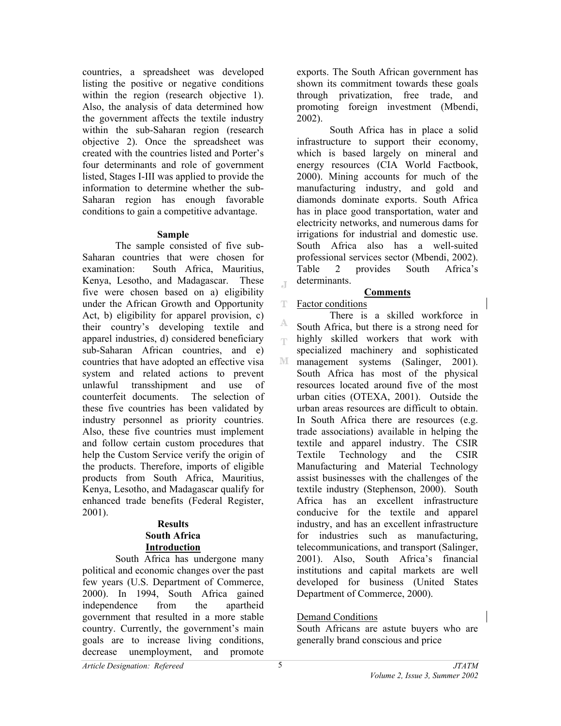countries, a spreadsheet was developed listing the positive or negative conditions within the region (research objective 1). Also, the analysis of data determined how the government affects the textile industry within the sub-Saharan region (research objective 2). Once the spreadsheet was created with the countries listed and Porter's four determinants and role of government listed, Stages I-III was applied to provide the information to determine whether the sub-Saharan region has enough favorable conditions to gain a competitive advantage.

### **Sample**

The sample consisted of five sub-Saharan countries that were chosen for examination: South Africa, Mauritius, Kenya, Lesotho, and Madagascar. These five were chosen based on a) eligibility under the African Growth and Opportunity Act, b) eligibility for apparel provision, c) their country's developing textile and apparel industries, d) considered beneficiary sub-Saharan African countries, and e) countries that have adopted an effective visa system and related actions to prevent unlawful transshipment and use of counterfeit documents. The selection of these five countries has been validated by industry personnel as priority countries. Also, these five countries must implement and follow certain custom procedures that help the Custom Service verify the origin of the products. Therefore, imports of eligible products from South Africa, Mauritius, Kenya, Lesotho, and Madagascar qualify for enhanced trade benefits (Federal Register, 2001).

# **Results South Africa Introduction**

South Africa has undergone many political and economic changes over the past few years (U.S. Department of Commerce, 2000). In 1994, South Africa gained independence from the apartheid government that resulted in a more stable country. Currently, the government's main goals are to increase living conditions, decrease unemployment, and promote

exports. The South African government has shown its commitment towards these goals through privatization, free trade, and promoting foreign investment (Mbendi, 2002).

 South Africa has in place a solid infrastructure to support their economy, which is based largely on mineral and energy resources (CIA World Factbook, 2000). Mining accounts for much of the manufacturing industry, and gold and diamonds dominate exports. South Africa has in place good transportation, water and electricity networks, and numerous dams for irrigations for industrial and domestic use. South Africa also has a well-suited professional services sector (Mbendi, 2002). Table 2 provides South Africa's determinants.

# **Comments**

т Factor conditions

 $\mathbb T$ 

A m

There is a skilled workforce in South Africa, but there is a strong need for highly skilled workers that work with specialized machinery and sophisticated M management systems (Salinger, 2001). South Africa has most of the physical resources located around five of the most urban cities (OTEXA, 2001). Outside the urban areas resources are difficult to obtain. In South Africa there are resources (e.g. trade associations) available in helping the textile and apparel industry. The CSIR Textile Technology and the CSIR Manufacturing and Material Technology assist businesses with the challenges of the textile industry (Stephenson, 2000). South Africa has an excellent infrastructure conducive for the textile and apparel industry, and has an excellent infrastructure for industries such as manufacturing, telecommunications, and transport (Salinger, 2001). Also, South Africa's financial institutions and capital markets are well developed for business (United States Department of Commerce, 2000).

# Demand Conditions

South Africans are astute buyers who are generally brand conscious and price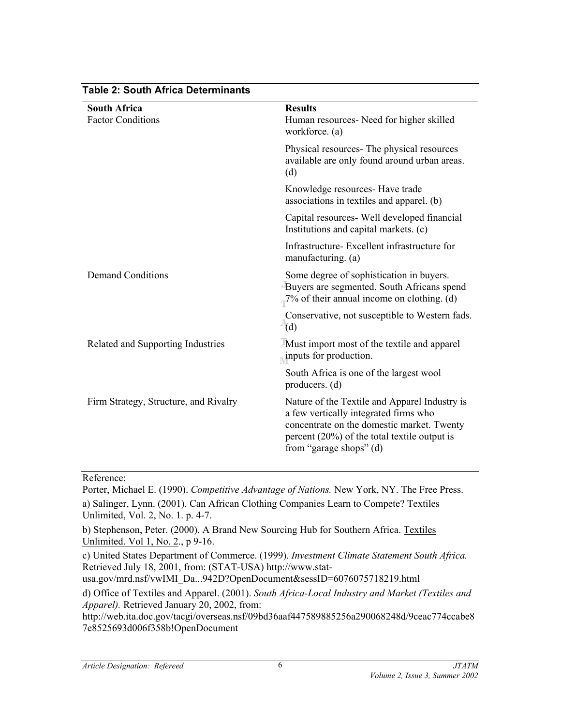| <b>South Africa</b>                   | <b>Results</b>                                                                                                                                                                                                     |
|---------------------------------------|--------------------------------------------------------------------------------------------------------------------------------------------------------------------------------------------------------------------|
| <b>Factor Conditions</b>              | Human resources- Need for higher skilled<br>workforce. (a)                                                                                                                                                         |
|                                       | Physical resources The physical resources<br>available are only found around urban areas.<br>(d)                                                                                                                   |
|                                       | Knowledge resources- Have trade<br>associations in textiles and apparel. (b)                                                                                                                                       |
|                                       | Capital resources- Well developed financial<br>Institutions and capital markets. (c)                                                                                                                               |
|                                       | Infrastructure-Excellent infrastructure for<br>manufacturing. (a)                                                                                                                                                  |
| <b>Demand Conditions</b>              | Some degree of sophistication in buyers.<br>Buyers are segmented. South Africans spend<br>$-7\%$ of their annual income on clothing. (d)                                                                           |
|                                       | Conservative, not susceptible to Western fads.<br>(d)                                                                                                                                                              |
| Related and Supporting Industries     | Must import most of the textile and apparel<br>$\mu$ inputs for production.                                                                                                                                        |
|                                       | South Africa is one of the largest wool<br>producers. $(d)$                                                                                                                                                        |
| Firm Strategy, Structure, and Rivalry | Nature of the Textile and Apparel Industry is<br>a few vertically integrated firms who<br>concentrate on the domestic market. Twenty<br>percent $(20\%)$ of the total textile output is<br>from "garage shops" (d) |

# **Table 2: South Africa Determinants**

# Reference:

Porter, Michael E. (1990). *Competitive Advantage of Nations.* New York, NY. The Free Press.

a) Salinger, Lynn. (2001). Can African Clothing Companies Learn to Compete? Textiles Unlimited, Vol. 2, No. 1. p. 4-7.

b) Stephenson, Peter. (2000). A Brand New Sourcing Hub for Southern Africa. Textiles Unlimited. Vol 1, No. 2., p 9-16.

c) United States Department of Commerce. (1999). *Investment Climate Statement South Africa.* Retrieved July 18, 2001, from: (STAT-USA) http://www.stat-

usa.gov/mrd.nsf/vwIMI\_Da...942D?OpenDocument&sessID=6076075718219.html

d) Office of Textiles and Apparel. (2001). *South Africa-Local Industry and Market (Textiles and Apparel).* Retrieved January 20, 2002, from:

http://web.ita.doc.gov/tacgi/overseas.nsf/09bd36aaf447589885256a290068248d/9ceac774ccabe8 7e8525693d006f358b!OpenDocument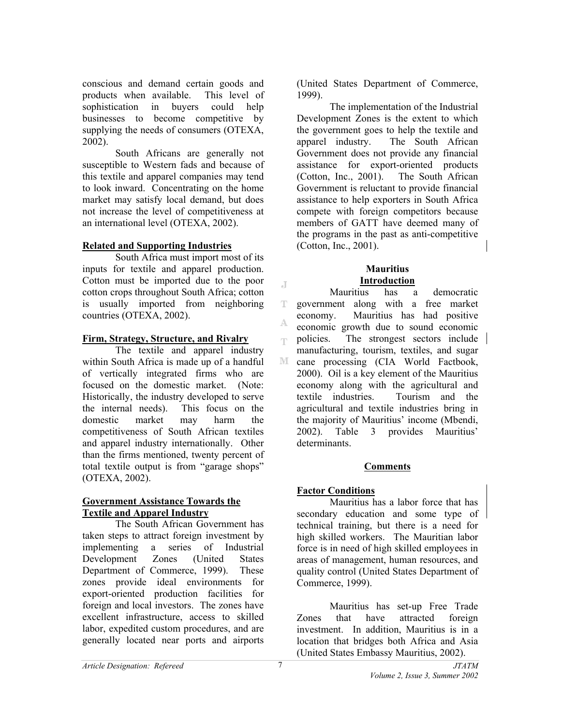conscious and demand certain goods and products when available. This level of sophistication in buyers could help businesses to become competitive by supplying the needs of consumers (OTEXA, 2002).

South Africans are generally not susceptible to Western fads and because of this textile and apparel companies may tend to look inward. Concentrating on the home market may satisfy local demand, but does not increase the level of competitiveness at an international level (OTEXA, 2002).

# **Related and Supporting Industries**

South Africa must import most of its inputs for textile and apparel production. Cotton must be imported due to the poor cotton crops throughout South Africa; cotton is usually imported from neighboring countries (OTEXA, 2002).

### **Firm, Strategy, Structure, and Rivalry**

The textile and apparel industry within South Africa is made up of a handful of vertically integrated firms who are focused on the domestic market. (Note: Historically, the industry developed to serve the internal needs). This focus on the domestic market may harm the competitiveness of South African textiles and apparel industry internationally. Other than the firms mentioned, twenty percent of total textile output is from "garage shops" (OTEXA, 2002).

### **Government Assistance Towards the Textile and Apparel Industry**

The South African Government has taken steps to attract foreign investment by implementing a series of Industrial Development Zones (United States Department of Commerce, 1999). These zones provide ideal environments for export-oriented production facilities for foreign and local investors. The zones have excellent infrastructure, access to skilled labor, expedited custom procedures, and are generally located near ports and airports

(United States Department of Commerce, 1999).

The implementation of the Industrial Development Zones is the extent to which the government goes to help the textile and apparel industry. The South African Government does not provide any financial assistance for export-oriented products (Cotton, Inc., 2001). The South African Government is reluctant to provide financial assistance to help exporters in South Africa compete with foreign competitors because members of GATT have deemed many of the programs in the past as anti-competitive (Cotton, Inc., 2001).

### **Mauritius Introduction**

Mauritius has a democratic government along with a free market T economy. Mauritius has had positive A. economic growth due to sound economic policies. The strongest sectors include egn. manufacturing, tourism, textiles, and sugar M cane processing (CIA World Factbook, 2000). Oil is a key element of the Mauritius economy along with the agricultural and textile industries. Tourism and the agricultural and textile industries bring in the majority of Mauritius' income (Mbendi, 2002). Table 3 provides Mauritius' determinants.

# **Comments**

# **Factor Conditions**

Mauritius has a labor force that has secondary education and some type of technical training, but there is a need for high skilled workers. The Mauritian labor force is in need of high skilled employees in areas of management, human resources, and quality control (United States Department of Commerce, 1999).

Mauritius has set-up Free Trade Zones that have attracted foreign investment. In addition, Mauritius is in a location that bridges both Africa and Asia (United States Embassy Mauritius, 2002).

J.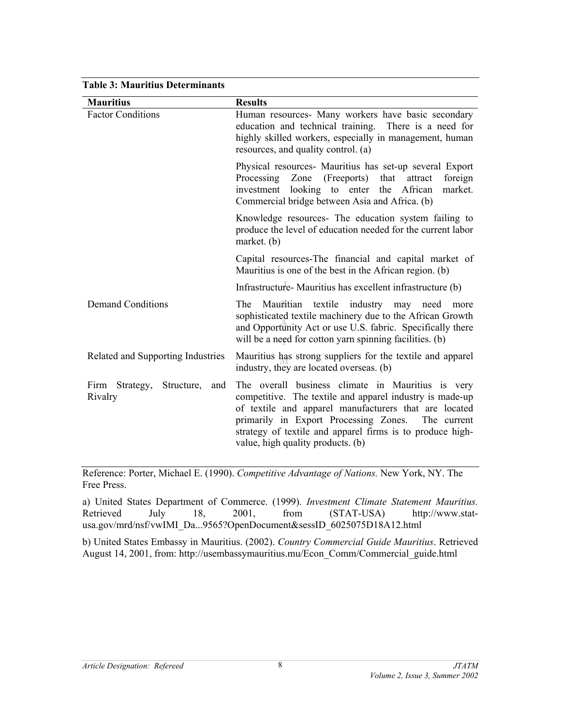| <b>Table 3: Mauritius Determinants</b>            |                                                                                                                                                                                                                                                                                                                                  |
|---------------------------------------------------|----------------------------------------------------------------------------------------------------------------------------------------------------------------------------------------------------------------------------------------------------------------------------------------------------------------------------------|
| <b>Mauritius</b>                                  | <b>Results</b>                                                                                                                                                                                                                                                                                                                   |
| <b>Factor Conditions</b>                          | Human resources- Many workers have basic secondary<br>education and technical training. There is a need for<br>highly skilled workers, especially in management, human<br>resources, and quality control. (a)                                                                                                                    |
|                                                   | Physical resources Mauritius has set-up several Export<br>Processing Zone (Freeports) that<br>foreign<br>attract<br>investment looking to enter the African<br>market.<br>Commercial bridge between Asia and Africa. (b)                                                                                                         |
|                                                   | Knowledge resources- The education system failing to<br>produce the level of education needed for the current labor<br>market. $(b)$                                                                                                                                                                                             |
|                                                   | Capital resources-The financial and capital market of<br>Mauritius is one of the best in the African region. (b)                                                                                                                                                                                                                 |
|                                                   | Infrastructure Mauritius has excellent infrastructure (b)                                                                                                                                                                                                                                                                        |
| <b>Demand Conditions</b>                          | The Mauritian textile industry may need<br>more<br>sophisticated textile machinery due to the African Growth<br>and Opportunity Act or use U.S. fabric. Specifically there<br>will be a need for cotton yarn spinning facilities. (b)                                                                                            |
| Related and Supporting Industries                 | Mauritius has strong suppliers for the textile and apparel<br>industry, they are located overseas. (b)                                                                                                                                                                                                                           |
| Structure,<br>Firm<br>Strategy,<br>and<br>Rivalry | The overall business climate in Mauritius is very<br>competitive. The textile and apparel industry is made-up<br>of textile and apparel manufacturers that are located<br>primarily in Export Processing Zones.<br>The current<br>strategy of textile and apparel firms is to produce high-<br>value, high quality products. (b) |

Reference: Porter, Michael E. (1990). *Competitive Advantage of Nations.* New York, NY. The Free Press.

a) United States Department of Commerce. (1999). *Investment Climate Statement Mauritius.* Retrieved July 18, 2001, from (STAT-USA) http://www.statusa.gov/mrd/nsf/vwIMI\_Da...9565?OpenDocument&sessID\_6025075D18A12.html

b) United States Embassy in Mauritius. (2002). *Country Commercial Guide Mauritius*. Retrieved August 14, 2001, from: http://usembassymauritius.mu/Econ\_Comm/Commercial\_guide.html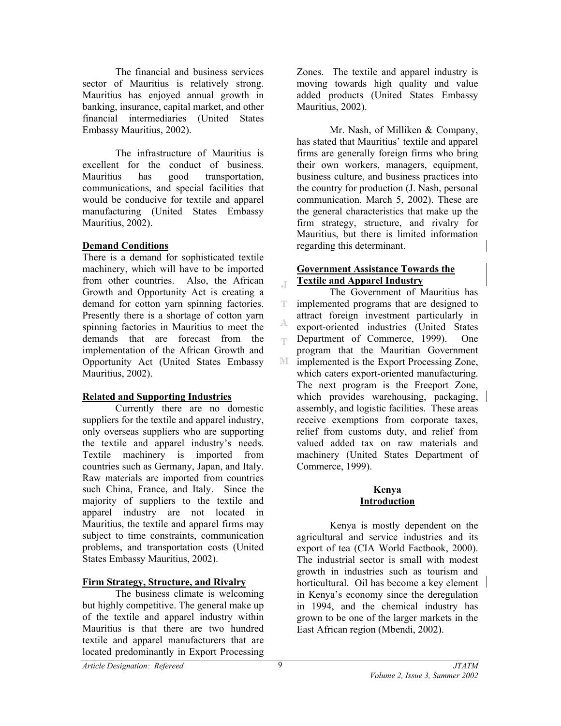The financial and business services sector of Mauritius is relatively strong. Mauritius has enjoyed annual growth in banking, insurance, capital market, and other financial intermediaries (United States Embassy Mauritius, 2002).

The infrastructure of Mauritius is excellent for the conduct of business. Mauritius has good transportation, communications, and special facilities that would be conducive for textile and apparel manufacturing (United States Embassy Mauritius, 2002).

### **Demand Conditions**

There is a demand for sophisticated textile machinery, which will have to be imported from other countries. Also, the African Growth and Opportunity Act is creating a demand for cotton yarn spinning factories. Presently there is a shortage of cotton yarn spinning factories in Mauritius to meet the demands that are forecast from the implementation of the African Growth and Opportunity Act (United States Embassy Mauritius, 2002).

### **Related and Supporting Industries**

Currently there are no domestic suppliers for the textile and apparel industry, only overseas suppliers who are supporting the textile and apparel industry's needs. Textile machinery is imported from countries such as Germany, Japan, and Italy. Raw materials are imported from countries such China, France, and Italy. Since the majority of suppliers to the textile and apparel industry are not located in Mauritius, the textile and apparel firms may subject to time constraints, communication problems, and transportation costs (United States Embassy Mauritius, 2002).

# **Firm Strategy, Structure, and Rivalry**

The business climate is welcoming but highly competitive. The general make up of the textile and apparel industry within Mauritius is that there are two hundred textile and apparel manufacturers that are located predominantly in Export Processing

Zones. The textile and apparel industry is moving towards high quality and value added products (United States Embassy Mauritius, 2002).

Mr. Nash, of Milliken & Company, has stated that Mauritius' textile and apparel firms are generally foreign firms who bring their own workers, managers, equipment, business culture, and business practices into the country for production (J. Nash, personal communication, March 5, 2002). These are the general characteristics that make up the firm strategy, structure, and rivalry for Mauritius, but there is limited information regarding this determinant.

# **Government Assistance Towards the Textile and Apparel Industry**

 The Government of Mauritius has implemented programs that are designed to T. attract foreign investment particularly in export-oriented industries (United States Department of Commerce, 1999). One egs. program that the Mauritian Government  $\mathbb{M}$ implemented is the Export Processing Zone, which caters export-oriented manufacturing. The next program is the Freeport Zone, which provides warehousing, packaging, assembly, and logistic facilities. These areas receive exemptions from corporate taxes, relief from customs duty, and relief from valued added tax on raw materials and machinery (United States Department of Commerce, 1999).

#### **Kenya Introduction**

 Kenya is mostly dependent on the agricultural and service industries and its export of tea (CIA World Factbook, 2000). The industrial sector is small with modest growth in industries such as tourism and horticultural. Oil has become a key element in Kenya's economy since the deregulation in 1994, and the chemical industry has grown to be one of the larger markets in the East African region (Mbendi, 2002).

 $\mathbb{T}$ 

A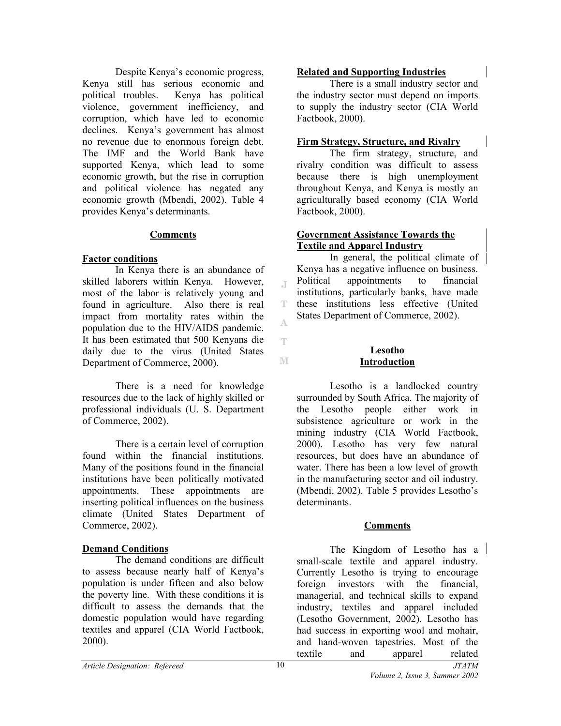Despite Kenya's economic progress, Kenya still has serious economic and political troubles. Kenya has political violence, government inefficiency, and corruption, which have led to economic declines. Kenya's government has almost no revenue due to enormous foreign debt. The IMF and the World Bank have supported Kenya, which lead to some economic growth, but the rise in corruption and political violence has negated any economic growth (Mbendi, 2002). Table 4 provides Kenya's determinants.

### **Comments**

### **Factor conditions**

In Kenya there is an abundance of skilled laborers within Kenya. However, most of the labor is relatively young and found in agriculture. Also there is real impact from mortality rates within the population due to the HIV/AIDS pandemic. It has been estimated that 500 Kenyans die daily due to the virus (United States Department of Commerce, 2000).

There is a need for knowledge resources due to the lack of highly skilled or professional individuals (U. S. Department of Commerce, 2002).

There is a certain level of corruption found within the financial institutions. Many of the positions found in the financial institutions have been politically motivated appointments. These appointments are inserting political influences on the business climate (United States Department of Commerce, 2002).

# **Demand Conditions**

The demand conditions are difficult to assess because nearly half of Kenya's population is under fifteen and also below the poverty line. With these conditions it is difficult to assess the demands that the domestic population would have regarding textiles and apparel (CIA World Factbook, 2000).

### **Related and Supporting Industries**

There is a small industry sector and the industry sector must depend on imports to supply the industry sector (CIA World Factbook, 2000).

### **Firm Strategy, Structure, and Rivalry**

The firm strategy, structure, and rivalry condition was difficult to assess because there is high unemployment throughout Kenya, and Kenya is mostly an agriculturally based economy (CIA World Factbook, 2000).

### **Government Assistance Towards the Textile and Apparel Industry**

 In general, the political climate of Kenya has a negative influence on business. Political appointments to financial institutions, particularly banks, have made these institutions less effective (United States Department of Commerce, 2002).

M

J.

T A

Ŧ

### **Lesotho Introduction**

Lesotho is a landlocked country surrounded by South Africa. The majority of the Lesotho people either work in subsistence agriculture or work in the mining industry (CIA World Factbook, 2000). Lesotho has very few natural resources, but does have an abundance of water. There has been a low level of growth in the manufacturing sector and oil industry. (Mbendi, 2002). Table 5 provides Lesotho's determinants.

### **Comments**

 The Kingdom of Lesotho has a small-scale textile and apparel industry. Currently Lesotho is trying to encourage foreign investors with the financial, managerial, and technical skills to expand industry, textiles and apparel included (Lesotho Government, 2002). Lesotho has had success in exporting wool and mohair, and hand-woven tapestries. Most of the textile and apparel related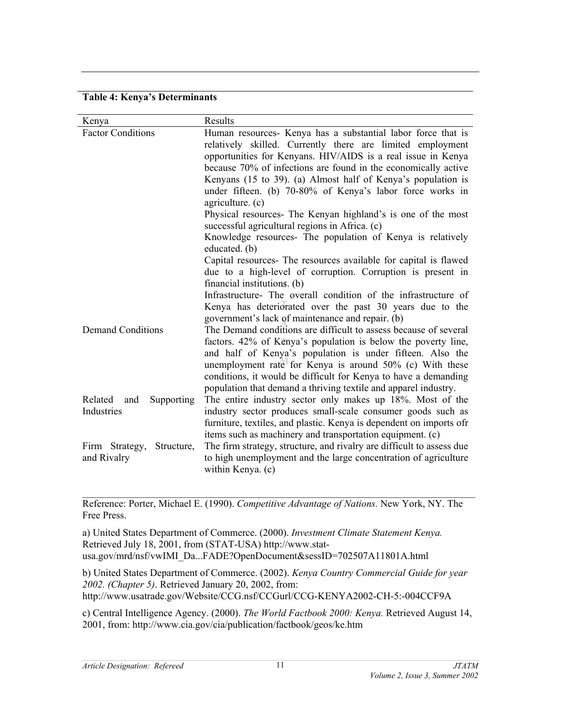### **Table 4: Kenya's Determinants**

| Kenya                                       | Results                                                                                                                                                                                                                                                                                                                                                                                                                                                                                                                                                                                                                                                                                                                                                                          |
|---------------------------------------------|----------------------------------------------------------------------------------------------------------------------------------------------------------------------------------------------------------------------------------------------------------------------------------------------------------------------------------------------------------------------------------------------------------------------------------------------------------------------------------------------------------------------------------------------------------------------------------------------------------------------------------------------------------------------------------------------------------------------------------------------------------------------------------|
| <b>Factor Conditions</b>                    | Human resources- Kenya has a substantial labor force that is<br>relatively skilled. Currently there are limited employment<br>opportunities for Kenyans. HIV/AIDS is a real issue in Kenya<br>because 70% of infections are found in the economically active<br>Kenyans (15 to 39). (a) Almost half of Kenya's population is<br>under fifteen. (b) 70-80% of Kenya's labor force works in<br>agriculture. (c)<br>Physical resources- The Kenyan highland's is one of the most<br>successful agricultural regions in Africa. (c)<br>Knowledge resources- The population of Kenya is relatively<br>educated. (b)<br>Capital resources- The resources available for capital is flawed<br>due to a high-level of corruption. Corruption is present in<br>financial institutions. (b) |
| <b>Demand Conditions</b>                    | Infrastructure- The overall condition of the infrastructure of<br>Kenya has deteriorated over the past 30 years due to the<br>government's lack of maintenance and repair. (b)<br>The Demand conditions are difficult to assess because of several<br>factors. 42% of Kenya's population is below the poverty line,<br>and half of Kenya's population is under fifteen. Also the<br>unemployment rate for Kenya is around 50% (c) With these<br>conditions, it would be difficult for Kenya to have a demanding<br>population that demand a thriving textile and apparel industry.                                                                                                                                                                                               |
| Related<br>Supporting<br>and<br>Industries  | The entire industry sector only makes up 18%. Most of the<br>industry sector produces small-scale consumer goods such as<br>furniture, textiles, and plastic. Kenya is dependent on imports ofr<br>items such as machinery and transportation equipment. (c)                                                                                                                                                                                                                                                                                                                                                                                                                                                                                                                     |
| Firm Strategy,<br>Structure,<br>and Rivalry | The firm strategy, structure, and rivalry are difficult to assess due<br>to high unemployment and the large concentration of agriculture<br>within Kenya. (c)                                                                                                                                                                                                                                                                                                                                                                                                                                                                                                                                                                                                                    |

Reference: Porter, Michael E. (1990). *Competitive Advantage of Nations.* New York, NY. The Free Press.

 $\mathcal{L}_\mathcal{L} = \{ \mathcal{L}_\mathcal{L} = \{ \mathcal{L}_\mathcal{L} = \{ \mathcal{L}_\mathcal{L} = \{ \mathcal{L}_\mathcal{L} = \{ \mathcal{L}_\mathcal{L} = \{ \mathcal{L}_\mathcal{L} = \{ \mathcal{L}_\mathcal{L} = \{ \mathcal{L}_\mathcal{L} = \{ \mathcal{L}_\mathcal{L} = \{ \mathcal{L}_\mathcal{L} = \{ \mathcal{L}_\mathcal{L} = \{ \mathcal{L}_\mathcal{L} = \{ \mathcal{L}_\mathcal{L} = \{ \mathcal{L}_\mathcal{$ 

a) United States Department of Commerce. (2000). *Investment Climate Statement Kenya.* Retrieved July 18, 2001, from (STAT-USA) http://www.statusa.gov/mrd/nsf/vwIMI\_Da...FADE?OpenDocument&sessID=702507A11801A.html

b) United States Department of Commerce. (2002). *Kenya Country Commercial Guide for year 2002. (Chapter 5)*. Retrieved January 20, 2002, from: http://www.usatrade.gov/Website/CCG.nsf/CCGurl/CCG-KENYA2002-CH-5:-004CCF9A

c) Central Intelligence Agency. (2000). *The World Factbook 2000: Kenya.* Retrieved August 14, 2001, from: http://www.cia.gov/cia/publication/factbook/geos/ke.htm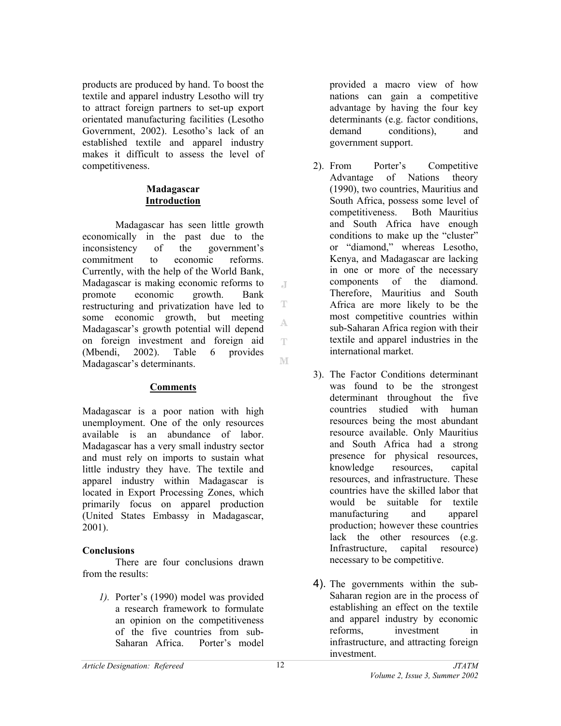products are produced by hand. To boost the textile and apparel industry Lesotho will try to attract foreign partners to set-up export orientated manufacturing facilities (Lesotho Government, 2002). Lesotho's lack of an established textile and apparel industry makes it difficult to assess the level of competitiveness.

### **Madagascar Introduction**

Madagascar has seen little growth economically in the past due to the inconsistency of the government's commitment to economic reforms. Currently, with the help of the World Bank, Madagascar is making economic reforms to promote economic growth. Bank restructuring and privatization have led to some economic growth, but meeting Madagascar's growth potential will depend on foreign investment and foreign aid (Mbendi, 2002). Table 6 provides Madagascar's determinants.

# **Comments**

Madagascar is a poor nation with high unemployment. One of the only resources available is an abundance of labor. Madagascar has a very small industry sector and must rely on imports to sustain what little industry they have. The textile and apparel industry within Madagascar is located in Export Processing Zones, which primarily focus on apparel production (United States Embassy in Madagascar, 2001).

# **Conclusions**

There are four conclusions drawn from the results:

*1).* Porter's (1990) model was provided a research framework to formulate an opinion on the competitiveness of the five countries from sub-Saharan Africa. Porter's model

provided a macro view of how nations can gain a competitive advantage by having the four key determinants (e.g. factor conditions, demand conditions), and government support.

- 2). From Porter's Competitive Advantage of Nations theory (1990), two countries, Mauritius and South Africa, possess some level of competitiveness. Both Mauritius and South Africa have enough conditions to make up the "cluster" or "diamond," whereas Lesotho, Kenya, and Madagascar are lacking in one or more of the necessary components of the diamond. Therefore, Mauritius and South Africa are more likely to be the most competitive countries within sub-Saharan Africa region with their textile and apparel industries in the international market.
- 3). The Factor Conditions determinant was found to be the strongest determinant throughout the five countries studied with human resources being the most abundant resource available. Only Mauritius and South Africa had a strong presence for physical resources, knowledge resources, capital resources, and infrastructure. These countries have the skilled labor that would be suitable for textile manufacturing and apparel production; however these countries lack the other resources (e.g. Infrastructure, capital resource) necessary to be competitive.
- 4). The governments within the sub-Saharan region are in the process of establishing an effect on the textile and apparel industry by economic reforms, investment in infrastructure, and attracting foreign investment.

 $\mathbb{R}$ 

T

A.

T.

M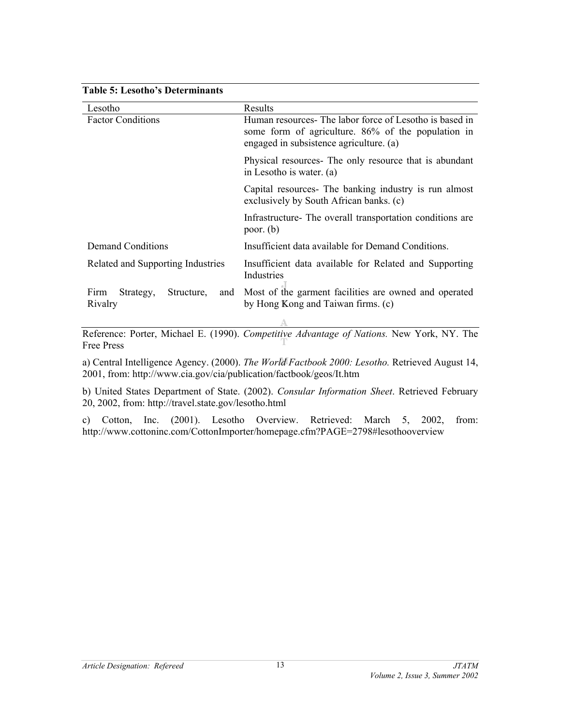### **Table 5: Lesotho's Determinants**

| Lesotho                                                                          | Results                                                                                                                                                  |
|----------------------------------------------------------------------------------|----------------------------------------------------------------------------------------------------------------------------------------------------------|
| <b>Factor Conditions</b>                                                         | Human resources- The labor force of Lesotho is based in<br>some form of agriculture. 86% of the population in<br>engaged in subsistence agriculture. (a) |
|                                                                                  | Physical resources- The only resource that is abundant<br>in Lesotho is water. (a)                                                                       |
|                                                                                  | Capital resources- The banking industry is run almost<br>exclusively by South African banks. (c)                                                         |
|                                                                                  | Infrastructure The overall transportation conditions are<br>poor. $(b)$                                                                                  |
| Demand Conditions                                                                | Insufficient data available for Demand Conditions.                                                                                                       |
| Related and Supporting Industries                                                | Insufficient data available for Related and Supporting<br>Industries                                                                                     |
| Firm<br>Structure,<br>Strategy,<br>and<br>Rivalry                                | Most of the garment facilities are owned and operated<br>by Hong Kong and Taiwan firms. (c)                                                              |
| $\mathbf{r}$ and $\mathbf{r}$ and $\mathbf{r}$ and $\mathbf{r}$ and $\mathbf{r}$ | <b>TY 1 STEP AND</b><br>2.77<br>$\mathbf{v}$                                                                                                             |

Reference: Porter, Michael E. (1990). *Competitive Advantage of Nations.* New York, NY. The Free Press

a) Central Intelligence Agency. (2000). *The World Factbook 2000: Lesotho.* Retrieved August 14, 2001, from: http://www.cia.gov/cia/publication/factbook/geos/It.htm

b) United States Department of State. (2002). *Consular Information Sheet*. Retrieved February 20, 2002, from: http://travel.state.gov/lesotho.html

c) Cotton, Inc. (2001). Lesotho Overview. Retrieved: March 5, 2002, from: http://www.cottoninc.com/CottonImporter/homepage.cfm?PAGE=2798#lesothooverview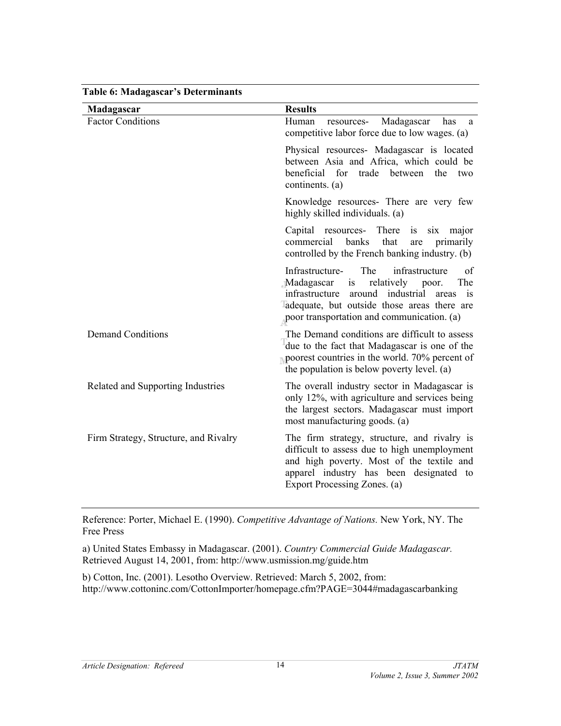| Madagascar                            | <b>Results</b>                                                                                                                                                                                                                                   |
|---------------------------------------|--------------------------------------------------------------------------------------------------------------------------------------------------------------------------------------------------------------------------------------------------|
| <b>Factor Conditions</b>              | Human<br>Madagascar<br>resources-<br>has<br>a<br>competitive labor force due to low wages. (a)                                                                                                                                                   |
|                                       | Physical resources- Madagascar is located<br>between Asia and Africa, which could be<br>beneficial<br>for<br>trade<br>between<br>the<br>two<br>continents. (a)                                                                                   |
|                                       | Knowledge resources- There are very few<br>highly skilled individuals. (a)                                                                                                                                                                       |
|                                       | Capital resources- There is six major<br>that<br>commercial<br>banks<br>primarily<br>are<br>controlled by the French banking industry. (b)                                                                                                       |
|                                       | The<br>infrastructure<br>Infrastructure-<br>of<br>relatively poor.<br>The<br>Madagascar<br>is<br>around industrial<br>infrastructure<br>is<br>areas<br>adequate, but outside those areas there are<br>poor transportation and communication. (a) |
| <b>Demand Conditions</b>              | The Demand conditions are difficult to assess<br>due to the fact that Madagascar is one of the<br>poorest countries in the world. 70% percent of<br>the population is below poverty level. (a)                                                   |
| Related and Supporting Industries     | The overall industry sector in Madagascar is<br>only 12%, with agriculture and services being<br>the largest sectors. Madagascar must import<br>most manufacturing goods. (a)                                                                    |
| Firm Strategy, Structure, and Rivalry | The firm strategy, structure, and rivalry is<br>difficult to assess due to high unemployment<br>and high poverty. Most of the textile and<br>apparel industry has been designated to<br>Export Processing Zones. (a)                             |

**Table 6: Madagascar's Determinants** 

Reference: Porter, Michael E. (1990). *Competitive Advantage of Nations.* New York, NY. The Free Press

a) United States Embassy in Madagascar. (2001). *Country Commercial Guide Madagascar.* Retrieved August 14, 2001, from: http://www.usmission.mg/guide.htm

b) Cotton, Inc. (2001). Lesotho Overview. Retrieved: March 5, 2002, from: http://www.cottoninc.com/CottonImporter/homepage.cfm?PAGE=3044#madagascarbanking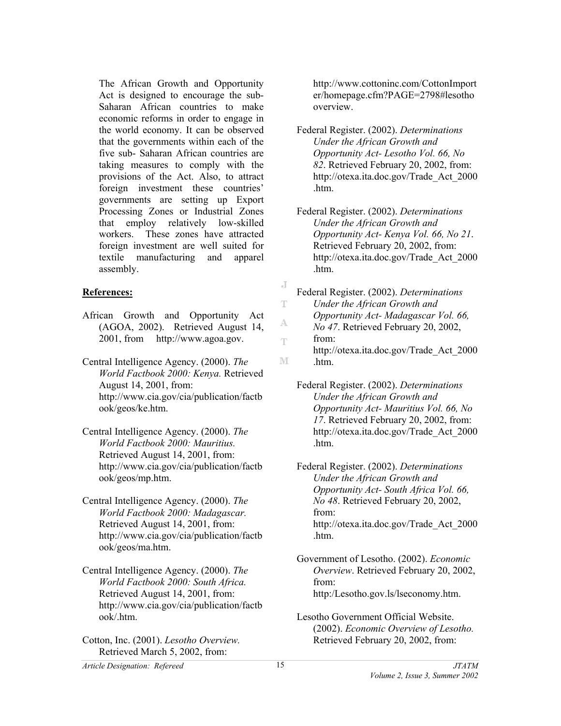The African Growth and Opportunity Act is designed to encourage the sub-Saharan African countries to make economic reforms in order to engage in the world economy. It can be observed that the governments within each of the five sub- Saharan African countries are taking measures to comply with the provisions of the Act. Also, to attract foreign investment these countries' governments are setting up Export Processing Zones or Industrial Zones that employ relatively low-skilled workers. These zones have attracted foreign investment are well suited for textile manufacturing and apparel assembly.

# **References:**

- African Growth and Opportunity Act (AGOA, 2002). Retrieved August 14, 2001, from http://www.agoa.gov.
- Central Intelligence Agency. (2000). *The World Factbook 2000: Kenya.* Retrieved August 14, 2001, from: http://www.cia.gov/cia/publication/factb ook/geos/ke.htm.
- Central Intelligence Agency. (2000). *The World Factbook 2000: Mauritius.* Retrieved August 14, 2001, from: http://www.cia.gov/cia/publication/factb ook/geos/mp.htm.
- Central Intelligence Agency. (2000). *The World Factbook 2000: Madagascar.* Retrieved August 14, 2001, from: http://www.cia.gov/cia/publication/factb ook/geos/ma.htm.
- Central Intelligence Agency. (2000). *The World Factbook 2000: South Africa.* Retrieved August 14, 2001, from: http://www.cia.gov/cia/publication/factb ook/.htm.

Cotton, Inc. (2001). *Lesotho Overview.*  Retrieved March 5, 2002, from:

http://www.cottoninc.com/CottonImport er/homepage.cfm?PAGE=2798#lesotho overview.

Federal Register. (2002). *Determinations Under the African Growth and Opportunity Act- Lesotho Vol. 66, No 82*. Retrieved February 20, 2002, from: http://otexa.ita.doc.gov/Trade\_Act\_2000 .htm.

Federal Register. (2002). *Determinations Under the African Growth and Opportunity Act- Kenya Vol. 66, No 21*. Retrieved February 20, 2002, from: http://otexa.ita.doc.gov/Trade\_Act\_2000 .htm.

- J Federal Register. (2002). *Determinations*  T *Under the African Growth and Opportunity Act- Madagascar Vol. 66,*  A *No 47*. Retrieved February 20, 2002, from: т. http://otexa.ita.doc.gov/Trade\_Act\_2000 M .htm.
	- Federal Register. (2002). *Determinations Under the African Growth and Opportunity Act- Mauritius Vol. 66, No 17*. Retrieved February 20, 2002, from: http://otexa.ita.doc.gov/Trade\_Act\_2000 .htm.

Federal Register. (2002). *Determinations Under the African Growth and Opportunity Act- South Africa Vol. 66, No 48*. Retrieved February 20, 2002, from: http://otexa.ita.doc.gov/Trade\_Act\_2000 .htm.

- Government of Lesotho. (2002). *Economic Overview*. Retrieved February 20, 2002, from: http:/Lesotho.gov.ls/lseconomy.htm.
- Lesotho Government Official Website. (2002). *Economic Overview of Lesotho.* Retrieved February 20, 2002, from: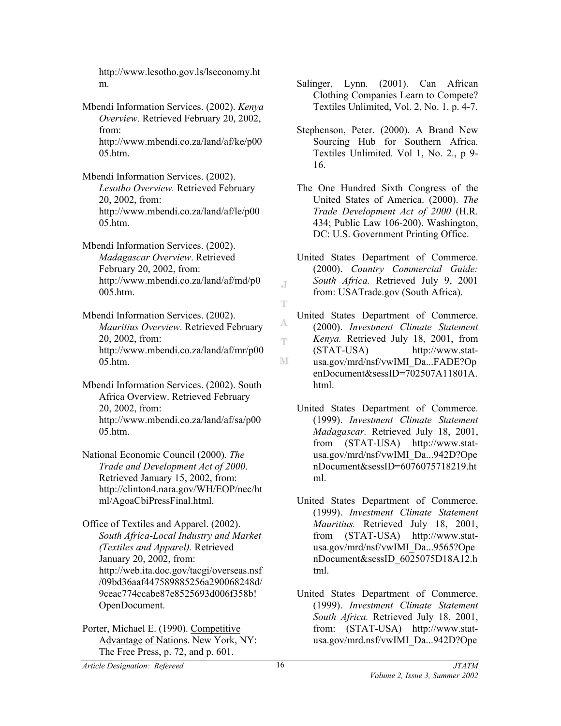http://www.lesotho.gov.ls/lseconomy.ht m.

Mbendi Information Services. (2002). *Kenya Overview.* Retrieved February 20, 2002, from: http://www.mbendi.co.za/land/af/ke/p00 05.htm.

Mbendi Information Services. (2002). *Lesotho Overview.* Retrieved February 20, 2002, from: http://www.mbendi.co.za/land/af/le/p00 05.htm.

Mbendi Information Services. (2002). *Madagascar Overview*. Retrieved February 20, 2002, from: http://www.mbendi.co.za/land/af/md/p0 005.htm.

Mbendi Information Services. (2002). *Mauritius Overview*. Retrieved February 20, 2002, from: http://www.mbendi.co.za/land/af/mr/p00 05.htm.

Mbendi Information Services. (2002). South Africa Overview. Retrieved February 20, 2002, from: http://www.mbendi.co.za/land/af/sa/p00  $05$  htm.

National Economic Council (2000). *The Trade and Development Act of 2000*. Retrieved January 15, 2002, from: http://clinton4.nara.gov/WH/EOP/nec/ht ml/AgoaCbiPressFinal.html.

Office of Textiles and Apparel. (2002). *South Africa-Local Industry and Market (Textiles and Apparel).* Retrieved January 20, 2002, from: http://web.ita.doc.gov/tacgi/overseas.nsf /09bd36aaf447589885256a290068248d/ 9ceac774ccabe87e8525693d006f358b! OpenDocument.

Porter, Michael E. (1990). Competitive Advantage of Nations. New York, NY: The Free Press, p. 72, and p. 601.

- Salinger, Lynn. (2001). Can African Clothing Companies Learn to Compete? Textiles Unlimited, Vol. 2, No. 1. p. 4-7.
- Stephenson, Peter. (2000). A Brand New Sourcing Hub for Southern Africa. Textiles Unlimited. Vol 1, No. 2., p 9- 16.
- The One Hundred Sixth Congress of the United States of America. (2000). *The Trade Development Act of 2000* (H.R. 434; Public Law 106-200). Washington, DC: U.S. Government Printing Office.
- United States Department of Commerce. (2000). *Country Commercial Guide: South Africa.* Retrieved July 9, 2001 from: USATrade.gov (South Africa).
- United States Department of Commerce. (2000). *Investment Climate Statement Kenya.* Retrieved July 18, 2001, from (STAT-USA) http://www.stat-M usa.gov/mrd/nsf/vwIMI\_Da...FADE?Op enDocument&sessID=702507A11801A. html.
	- United States Department of Commerce. (1999). *Investment Climate Statement Madagascar.* Retrieved July 18, 2001, from (STAT-USA) http://www.statusa.gov/mrd/nsf/vwIMI\_Da...942D?Ope nDocument&sessID=6076075718219.ht ml.
	- United States Department of Commerce. (1999). *Investment Climate Statement Mauritius.* Retrieved July 18, 2001, from (STAT-USA) http://www.statusa.gov/mrd/nsf/vwIMI\_Da...9565?Ope nDocument&sessID\_6025075D18A12.h tml.
	- United States Department of Commerce. (1999). *Investment Climate Statement South Africa.* Retrieved July 18, 2001, from: (STAT-USA) http://www.statusa.gov/mrd.nsf/vwIMI\_Da...942D?Ope

J.

T

Å т.